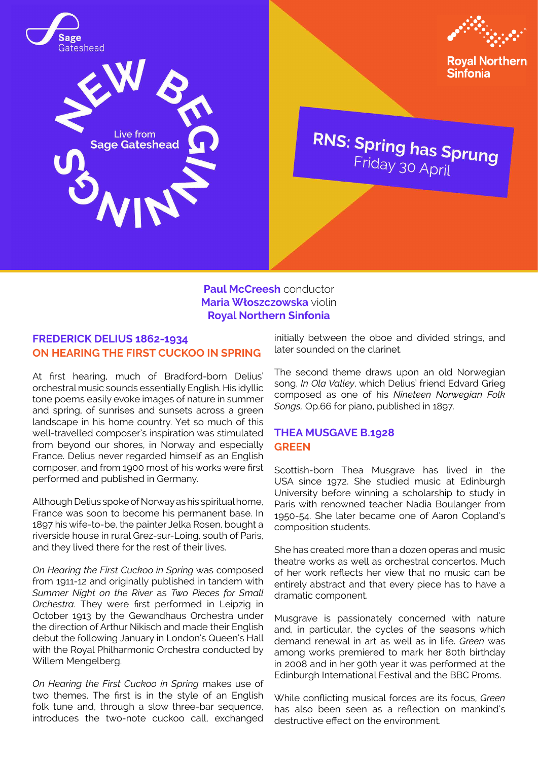





**Royal Northern Sinfonia** 

**RNS: Spring has Sprung**<br>Friday 30 April

**Paul McCreesh** conductor **Maria Włoszczowska** violin **Royal Northern Sinfonia**

### **FREDERICK DELIUS 1862-1934 ON HEARING THE FIRST CUCKOO IN SPRING**

At first hearing, much of Bradford-born Delius' orchestral music sounds essentially English. His idyllic tone poems easily evoke images of nature in summer and spring, of sunrises and sunsets across a green landscape in his home country. Yet so much of this well-travelled composer's inspiration was stimulated from beyond our shores, in Norway and especially France. Delius never regarded himself as an English composer, and from 1900 most of his works were first performed and published in Germany.

Although Delius spoke of Norway as his spiritual home, France was soon to become his permanent base. In 1897 his wife-to-be, the painter Jelka Rosen, bought a riverside house in rural Grez-sur-Loing, south of Paris, and they lived there for the rest of their lives.

*On Hearing the First Cuckoo in Spring* was composed from 1911-12 and originally published in tandem with *Summer Night on the River* as *Two Pieces for Small Orchestra*. They were first performed in Leipzig in October 1913 by the Gewandhaus Orchestra under the direction of Arthur Nikisch and made their English debut the following January in London's Queen's Hall with the Royal Philharmonic Orchestra conducted by Willem Mengelberg.

*On Hearing the First Cuckoo in Spring* makes use of two themes. The first is in the style of an English folk tune and, through a slow three-bar sequence, introduces the two-note cuckoo call, exchanged initially between the oboe and divided strings, and later sounded on the clarinet.

The second theme draws upon an old Norwegian song, *In Ola Valley*, which Delius' friend Edvard Grieg composed as one of his *Nineteen Norwegian Folk Songs,* Op.66 for piano, published in 1897.

# **THEA MUSGAVE B.1928 GREEN**

Scottish-born Thea Musgrave has lived in the USA since 1972. She studied music at Edinburgh University before winning a scholarship to study in Paris with renowned teacher Nadia Boulanger from 1950-54. She later became one of Aaron Copland's composition students.

She has created more than a dozen operas and music theatre works as well as orchestral concertos. Much of her work reflects her view that no music can be entirely abstract and that every piece has to have a dramatic component.

Musgrave is passionately concerned with nature and, in particular, the cycles of the seasons which demand renewal in art as well as in life. *Green* was among works premiered to mark her 80th birthday in 2008 and in her 90th year it was performed at the Edinburgh International Festival and the BBC Proms.

While conflicting musical forces are its focus, *Green* has also been seen as a reflection on mankind's destructive effect on the environment.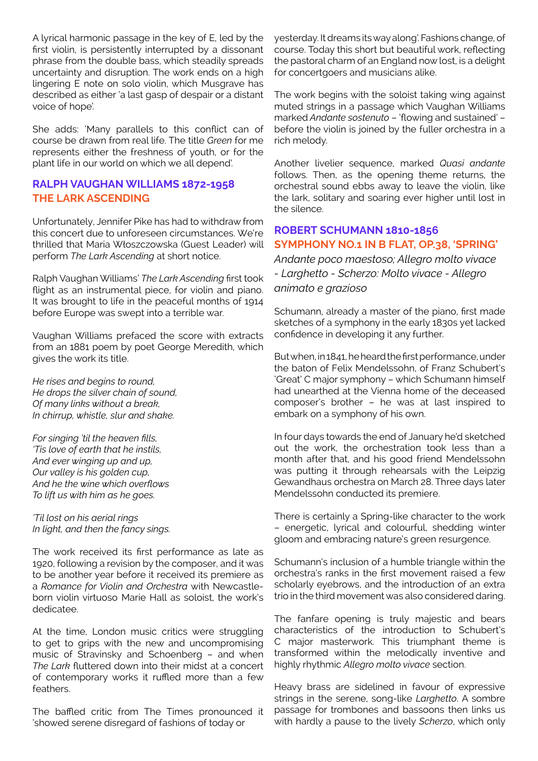A lyrical harmonic passage in the key of E, led by the first violin, is persistently interrupted by a dissonant phrase from the double bass, which steadily spreads uncertainty and disruption. The work ends on a high lingering E note on solo violin, which Musgrave has described as either 'a last gasp of despair or a distant voice of hope'.

She adds: 'Many parallels to this conflict can of course be drawn from real life. The title *Green* for me represents either the freshness of youth, or for the plant life in our world on which we all depend'.

# **RALPH VAUGHAN WILLIAMS 1872-1958 THE LARK ASCENDING**

Unfortunately, Jennifer Pike has had to withdraw from this concert due to unforeseen circumstances. We're thrilled that Maria Włoszczowska (Guest Leader) will perform *The Lark Ascending* at short notice.

Ralph Vaughan Williams' *The Lark Ascending* first took flight as an instrumental piece, for violin and piano. It was brought to life in the peaceful months of 1914 before Europe was swept into a terrible war.

Vaughan Williams prefaced the score with extracts from an 1881 poem by poet George Meredith, which gives the work its title.

*He rises and begins to round, He drops the silver chain of sound, Of many links without a break, In chirrup, whistle, slur and shake.*

*For singing 'til the heaven fills, 'Tis love of earth that he instils, And ever winging up and up, Our valley is his golden cup, And he the wine which overflows To lift us with him as he goes.*

*'Til lost on his aerial rings In light, and then the fancy sings.*

The work received its first performance as late as 1920, following a revision by the composer, and it was to be another year before it received its premiere as a *Romance for Violin and Orchestra* with Newcastleborn violin virtuoso Marie Hall as soloist, the work's dedicatee.

At the time, London music critics were struggling to get to grips with the new and uncompromising music of Stravinsky and Schoenberg – and when *The Lark* fluttered down into their midst at a concert of contemporary works it ruffled more than a few feathers.

The baffled critic from The Times pronounced it 'showed serene disregard of fashions of today or

yesterday. It dreams its way along'. Fashions change, of course. Today this short but beautiful work, reflecting the pastoral charm of an England now lost, is a delight for concertgoers and musicians alike.

The work begins with the soloist taking wing against muted strings in a passage which Vaughan Williams marked *Andante sostenuto* – 'flowing and sustained' – before the violin is joined by the fuller orchestra in a rich melody.

Another livelier sequence, marked *Quasi andante* follows. Then, as the opening theme returns, the orchestral sound ebbs away to leave the violin, like the lark, solitary and soaring ever higher until lost in the silence.

# **ROBERT SCHUMANN 1810-1856 SYMPHONY NO.1 IN B FLAT, OP.38, 'SPRING'**

*Andante poco maestoso; Allegro molto vivace - Larghetto - Scherzo: Molto vivace - Allegro animato e grazioso*

Schumann, already a master of the piano, first made sketches of a symphony in the early 1830s yet lacked confidence in developing it any further.

But when, in 1841, he heard the first performance, under the baton of Felix Mendelssohn, of Franz Schubert's 'Great' C major symphony – which Schumann himself had unearthed at the Vienna home of the deceased composer's brother – he was at last inspired to embark on a symphony of his own.

In four days towards the end of January he'd sketched out the work, the orchestration took less than a month after that, and his good friend Mendelssohn was putting it through rehearsals with the Leipzig Gewandhaus orchestra on March 28. Three days later Mendelssohn conducted its premiere.

There is certainly a Spring-like character to the work – energetic, lyrical and colourful, shedding winter gloom and embracing nature's green resurgence.

Schumann's inclusion of a humble triangle within the orchestra's ranks in the first movement raised a few scholarly eyebrows, and the introduction of an extra trio in the third movement was also considered daring.

The fanfare opening is truly majestic and bears characteristics of the introduction to Schubert's C major masterwork. This triumphant theme is transformed within the melodically inventive and highly rhythmic *Allegro molto vivace* section.

Heavy brass are sidelined in favour of expressive strings in the serene, song-like *Larghetto*. A sombre passage for trombones and bassoons then links us with hardly a pause to the lively *Scherzo*, which only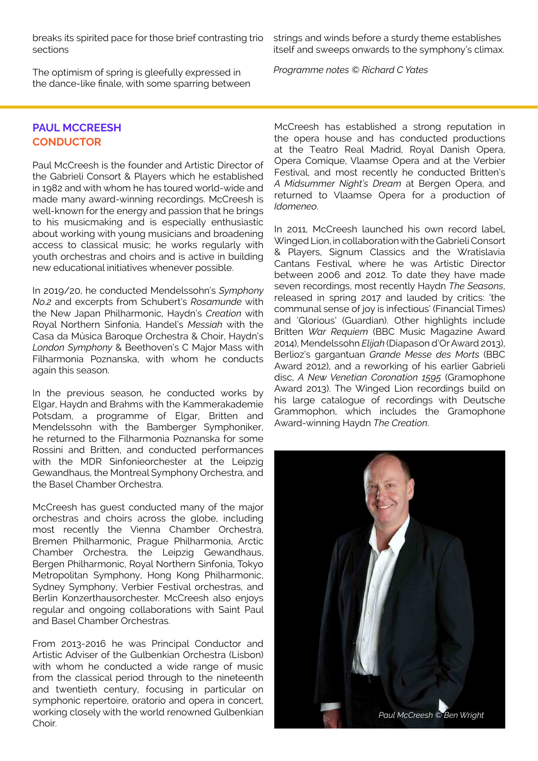breaks its spirited pace for those brief contrasting trio sections

The optimism of spring is gleefully expressed in the dance-like finale, with some sparring between strings and winds before a sturdy theme establishes itself and sweeps onwards to the symphony's climax.

*Programme notes © Richard C Yates*

# **PAUL MCCREESH CONDUCTOR**

Paul McCreesh is the founder and Artistic Director of the Gabrieli Consort & Players which he established in 1982 and with whom he has toured world-wide and made many award-winning recordings. McCreesh is well-known for the energy and passion that he brings to his musicmaking and is especially enthusiastic about working with young musicians and broadening access to classical music; he works regularly with youth orchestras and choirs and is active in building new educational initiatives whenever possible.

In 2019/20, he conducted Mendelssohn's *Symphony No.2* and excerpts from Schubert's *Rosamunde* with the New Japan Philharmonic, Haydn's *Creation* with Royal Northern Sinfonia, Handel's *Messiah* with the Casa da Música Baroque Orchestra & Choir, Haydn's *London Symphony* & Beethoven's C Major Mass with Filharmonia Poznanska, with whom he conducts again this season.

In the previous season, he conducted works by Elgar, Haydn and Brahms with the Kammerakademie Potsdam, a programme of Elgar, Britten and Mendelssohn with the Bamberger Symphoniker, he returned to the Filharmonia Poznanska for some Rossini and Britten, and conducted performances with the MDR Sinfonieorchester at the Leipzig Gewandhaus, the Montreal Symphony Orchestra, and the Basel Chamber Orchestra.

McCreesh has guest conducted many of the major orchestras and choirs across the globe, including most recently the Vienna Chamber Orchestra, Bremen Philharmonic, Prague Philharmonia, Arctic Chamber Orchestra, the Leipzig Gewandhaus, Bergen Philharmonic, Royal Northern Sinfonia, Tokyo Metropolitan Symphony, Hong Kong Philharmonic, Sydney Symphony, Verbier Festival orchestras, and Berlin Konzerthausorchester. McCreesh also enjoys regular and ongoing collaborations with Saint Paul and Basel Chamber Orchestras.

From 2013-2016 he was Principal Conductor and Artistic Adviser of the Gulbenkian Orchestra (Lisbon) with whom he conducted a wide range of music from the classical period through to the nineteenth and twentieth century, focusing in particular on symphonic repertoire, oratorio and opera in concert, working closely with the world renowned Gulbenkian Choir.

McCreesh has established a strong reputation in the opera house and has conducted productions at the Teatro Real Madrid, Royal Danish Opera, Opera Comique, Vlaamse Opera and at the Verbier Festival, and most recently he conducted Britten's *A Midsummer Night's Dream* at Bergen Opera, and returned to Vlaamse Opera for a production of *Idomeneo*.

In 2011, McCreesh launched his own record label Winged Lion, in collaboration with the Gabrieli Consort & Players, Signum Classics and the Wratislavia Cantans Festival, where he was Artistic Director between 2006 and 2012. To date they have made seven recordings, most recently Haydn *The Seasons*, released in spring 2017 and lauded by critics: 'the communal sense of joy is infectious' (Financial Times) and 'Glorious' (Guardian). Other highlights include Britten *War Requiem* (BBC Music Magazine Award 2014), Mendelssohn *Elijah* (Diapason d'Or Award 2013), Berlioz's gargantuan *Grande Messe des Morts* (BBC Award 2012), and a reworking of his earlier Gabrieli disc, *A New Venetian Coronation 1595* (Gramophone Award 2013). The Winged Lion recordings build on his large catalogue of recordings with Deutsche Grammophon, which includes the Gramophone Award-winning Haydn *The Creation*.